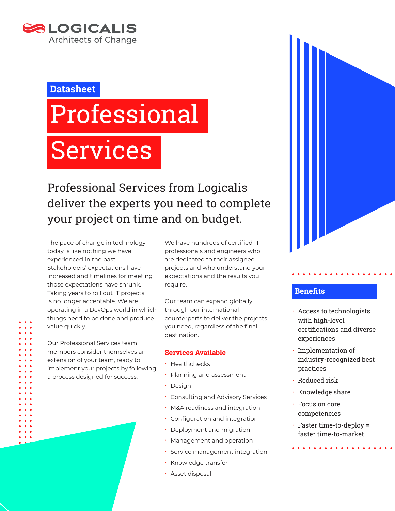

### **Datasheet**

# Professional

# Services

Professional Services from Logicalis deliver the experts you need to complete your project on time and on budget.

The pace of change in technology today is like nothing we have experienced in the past. Stakeholders' expectations have increased and timelines for meeting those expectations have shrunk. Taking years to roll out IT projects is no longer acceptable. We are operating in a DevOps world in which things need to be done and produce value quickly.

Our Professional Services team members consider themselves an extension of your team, ready to implement your projects by following a process designed for success.

We have hundreds of certified IT professionals and engineers who are dedicated to their assigned projects and who understand your expectations and the results you require.

Our team can expand globally through our international counterparts to deliver the projects you need, regardless of the final destination.

#### **Services Available**

- x Healthchecks
- x Planning and assessment
- Design
- **· Consulting and Advisory Services**
- M&A readiness and integration
- **· Configuration and integration**
- **·** Deployment and migration
- Management and operation
- **· Service management integration**
- x Knowledge transfer
- · Asset disposal



#### **Benefits**

- **Access to technologists** with high-level certifications and diverse experiences
- Implementation of industry-recognized best practices
- Reduced risk
- x Knowledge share
- $\cdot$  Focus on core competencies
- $\cdot$  Faster time-to-deploy = faster time-to-market.